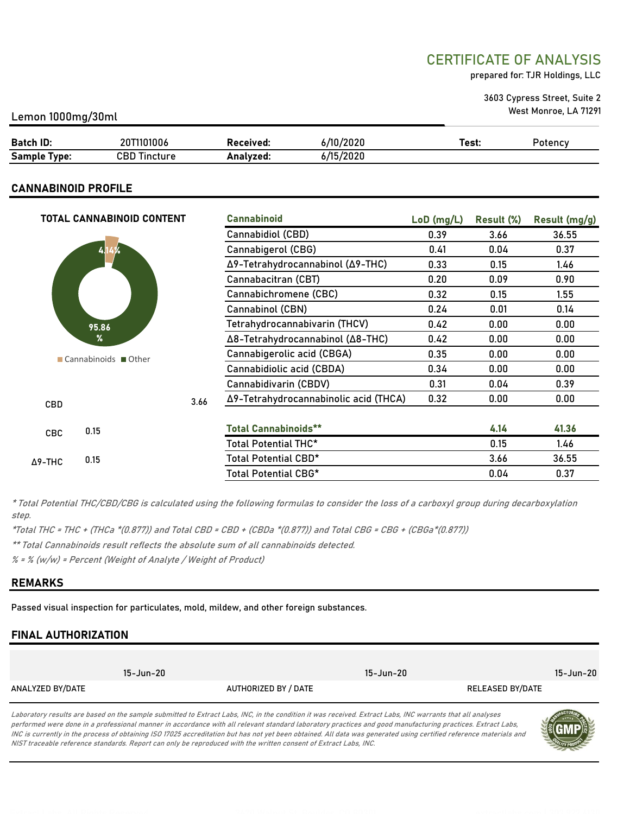# CERTIFICATE OF ANALYSIS

prepared for: TJR Holdings, LLC

3603 Cypress Street, Suite 2 West Monroe, LA 71291

#### Lemon 1000mg/30ml

| <b>Batch ID:</b>      | <b>IUIUU6</b>     | Received. | /10/2020                 | rest:<br>. | Potency |
|-----------------------|-------------------|-----------|--------------------------|------------|---------|
| <b>Sample</b><br>vpe: | CBD 1<br>Tincture | Analvzed. | 6/15/<br>. Innnn<br>ZUZU |            |         |

#### CANNABINOID PROFILE

|                | TOTAL CANNABINOID CONTENT |      | <b>Cannabinoid</b>                    | $LoD$ (mg/L) | Result (%) | Result (mg/g) |
|----------------|---------------------------|------|---------------------------------------|--------------|------------|---------------|
|                |                           |      | Cannabidiol (CBD)                     | 0.39         | 3.66       | 36.55         |
|                | 414%                      |      | Cannabigerol (CBG)                    | 0.41         | 0.04       | 0.37          |
|                |                           |      | Δ9-Tetrahydrocannabinol (Δ9-THC)      | 0.33         | 0.15       | 1.46          |
|                |                           |      | Cannabacitran (CBT)                   | 0.20         | 0.09       | 0.90          |
|                |                           |      | Cannabichromene (CBC)                 | 0.32         | 0.15       | 1.55          |
|                |                           |      | Cannabinol (CBN)                      | 0.24         | 0.01       | 0.14          |
|                | 95.86                     |      | Tetrahydrocannabivarin (THCV)         | 0.42         | 0.00       | 0.00          |
|                | %                         |      | Δ8-Tetrahydrocannabinol (Δ8-THC)      | 0.42         | 0.00       | 0.00          |
|                | ■ Cannabinoids ■ Other    |      | Cannabigerolic acid (CBGA)            | 0.35         | 0.00       | 0.00          |
|                |                           |      | Cannabidiolic acid (CBDA)             | 0.34         | 0.00       | 0.00          |
|                |                           |      | Cannabidivarin (CBDV)                 | 0.31         | 0.04       | 0.39          |
| <b>CBD</b>     |                           | 3.66 | Δ9-Tetrahydrocannabinolic acid (THCA) | 0.32         | 0.00       | 0.00          |
|                |                           |      |                                       |              |            |               |
| <b>CBC</b>     | 0.15                      |      | <b>Total Cannabinoids**</b>           |              | 4.14       | 41.36         |
|                |                           |      | Total Potential THC*                  |              | 0.15       | 1.46          |
| $\Delta$ 9-THC | 0.15                      |      | Total Potential CBD*                  |              | 3.66       | 36.55         |
|                |                           |      | Total Potential CBG*                  |              | 0.04       | 0.37          |

\* Total Potential THC/CBD/CBG is calculated using the following formulas to consider the loss of a carboxyl group during decarboxylation step.

\*Total THC = THC + (THCa \*(0.877)) and Total CBD = CBD + (CBDa \*(0.877)) and Total CBG = CBG + (CBGa\*(0.877))

\*\* Total Cannabinoids result reflects the absolute sum of all cannabinoids detected.

 $% =$  % (w/w) = Percent (Weight of Analyte / Weight of Product)

#### REMARKS

Passed visual inspection for particulates, mold, mildew, and other foreign substances.

## FINAL AUTHORIZATION

|                  | 15-Jun-20 |                      | 15-Jun-20 |                  | 15-Jun-20 |
|------------------|-----------|----------------------|-----------|------------------|-----------|
| ANALYZED BY/DATE |           | AUTHORIZED BY / DATE |           | RELEASED BY/DATE |           |

Laboratory results are based on the sample submitted to Extract Labs, INC, in the condition it was received. Extract Labs, INC warrants that all analyses performed were done in a professional manner in accordance with all relevant standard laboratory practices and good manufacturing practices. Extract Labs, INC is currently in the process of obtaining ISO 17025 accreditation but has not yet been obtained. All data was generated using certified reference materials and NIST traceable reference standards. Report can only be reproduced with the written consent of Extract Labs, INC.

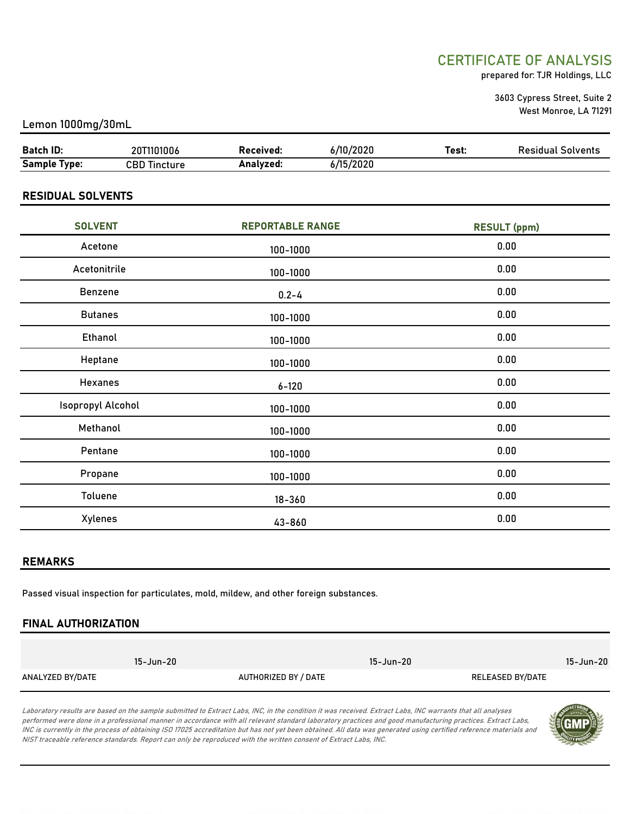# CERTIFICATE OF ANALYSIS

prepared for: TJR Holdings, LLC

3603 Cypress Street, Suite 2 West Monroe, LA 71291

#### Lemon 1000mg/30mL

| Batch ID:           | 20T1101006      | Received: | 6/10/2020 | Test: | <b>Residual Solvents</b> |
|---------------------|-----------------|-----------|-----------|-------|--------------------------|
| <b>Sample Type:</b> | CBD<br>Tincture | Analvzed: | 6/15/2020 |       |                          |

## RESIDUAL SOLVENTS

| <b>SOLVENT</b>    | <b>REPORTABLE RANGE</b> | <b>RESULT (ppm)</b> |
|-------------------|-------------------------|---------------------|
| Acetone           | 100-1000                | 0.00                |
| Acetonitrile      | 100-1000                | 0.00                |
| Benzene           | $0.2 - 4$               | 0.00                |
| <b>Butanes</b>    | 100-1000                | 0.00                |
| Ethanol           | 100-1000                | 0.00                |
| Heptane           | 100-1000                | 0.00                |
| Hexanes           | $6 - 120$               | 0.00                |
| Isopropyl Alcohol | 100-1000                | 0.00                |
| Methanol          | 100-1000                | 0.00                |
| Pentane           | 100-1000                | 0.00                |
| Propane           | 100-1000                | 0.00                |
| Toluene           | $18 - 360$              | 0.00                |
| Xylenes           | 43-860                  | 0.00                |

#### REMARKS

Passed visual inspection for particulates, mold, mildew, and other foreign substances.

## FINAL AUTHORIZATION

|                  | 15-Jun-20 |                      | 15-Jun-20 |                  | 15-Jun-20 |
|------------------|-----------|----------------------|-----------|------------------|-----------|
| ANALYZED BY/DATE |           | AUTHORIZED BY / DATE |           | RELEASED BY/DATE |           |

Laboratory results are based on the sample submitted to Extract Labs, INC, in the condition it was received. Extract Labs, INC warrants that all analyses performed were done in a professional manner in accordance with all relevant standard laboratory practices and good manufacturing practices. Extract Labs, INC is currently in the process of obtaining ISO 17025 accreditation but has not yet been obtained. All data was generated using certified reference materials and NIST traceable reference standards. Report can only be reproduced with the written consent of Extract Labs, INC.